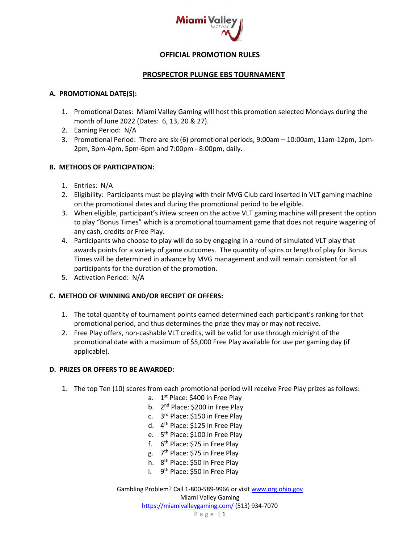

# **OFFICIAL PROMOTION RULES**

#### **PROSPECTOR PLUNGE EBS TOURNAMENT**

#### **A. PROMOTIONAL DATE(S):**

- 1. Promotional Dates: Miami Valley Gaming will host this promotion selected Mondays during the month of June 2022 (Dates: 6, 13, 20 & 27).
- 2. Earning Period: N/A
- 3. Promotional Period: There are six (6) promotional periods, 9:00am 10:00am, 11am-12pm, 1pm-2pm, 3pm-4pm, 5pm-6pm and 7:00pm - 8:00pm, daily.

# **B. METHODS OF PARTICIPATION:**

- 1. Entries: N/A
- 2. Eligibility: Participants must be playing with their MVG Club card inserted in VLT gaming machine on the promotional dates and during the promotional period to be eligible.
- 3. When eligible, participant's iView screen on the active VLT gaming machine will present the option to play "Bonus Times" which is a promotional tournament game that does not require wagering of any cash, credits or Free Play.
- 4. Participants who choose to play will do so by engaging in a round of simulated VLT play that awards points for a variety of game outcomes. The quantity of spins or length of play for Bonus Times will be determined in advance by MVG management and will remain consistent for all participants for the duration of the promotion.
- 5. Activation Period: N/A

# **C. METHOD OF WINNING AND/OR RECEIPT OF OFFERS:**

- 1. The total quantity of tournament points earned determined each participant's ranking for that promotional period, and thus determines the prize they may or may not receive.
- 2. Free Play offers, non-cashable VLT credits, will be valid for use through midnight of the promotional date with a maximum of \$5,000 Free Play available for use per gaming day (if applicable).

# **D. PRIZES OR OFFERS TO BE AWARDED:**

- 1. The top Ten (10) scores from each promotional period will receive Free Play prizes as follows:
	- a. 1<sup>st</sup> Place: \$400 in Free Play
	- b. 2<sup>nd</sup> Place: \$200 in Free Play
	- c. 3rd Place: \$150 in Free Play
	- d. 4th Place: \$125 in Free Play
	- e. 5th Place: \$100 in Free Play
	- f.  $6<sup>th</sup>$  Place: \$75 in Free Play
	- g. 7th Place: \$75 in Free Play
	- h. 8th Place: \$50 in Free Play
	- i. 9<sup>th</sup> Place: \$50 in Free Play

Gambling Problem? Call 1-800-589-9966 or visit www.org.ohio.gov Miami Valley Gaming https://miamivalleygaming.com/ (513) 934-7070